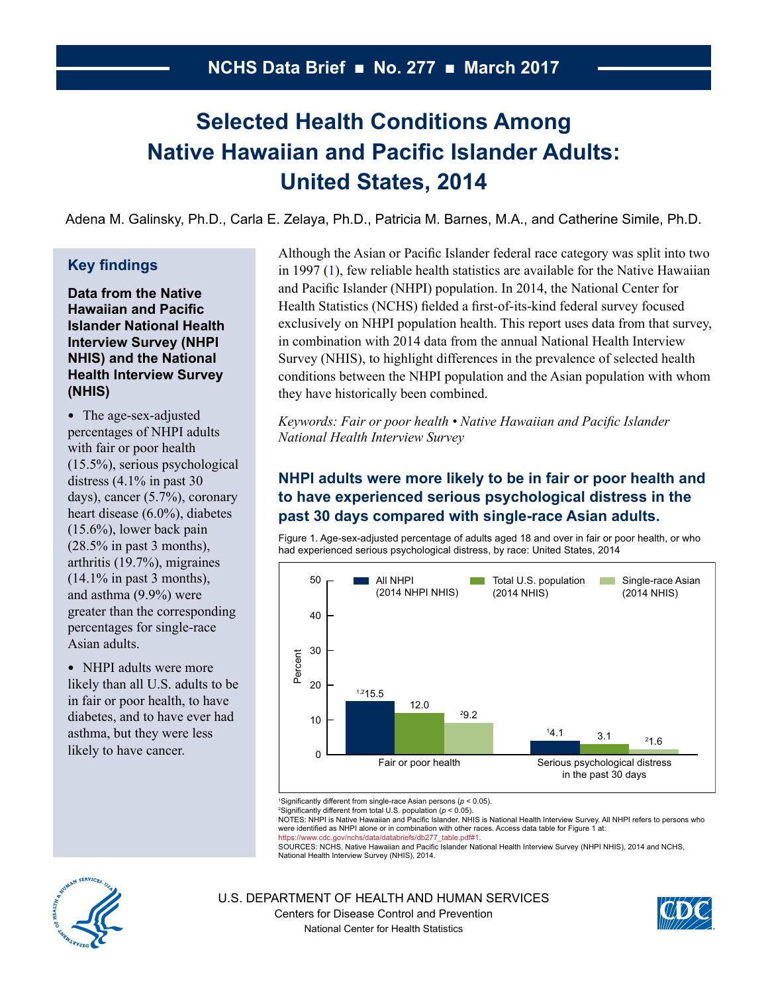# <span id="page-0-0"></span>**Selected Health Conditions Among Native Hawaiian and Pacific Islander Adults: United States, 2014**

Adena M. Galinsky, Ph.D., Carla E. Zelaya, Ph.D., Patricia M. Barnes, M.A., and Catherine Simile, Ph.D.

# **Key findings**

**Data from the Native Hawaiian and Pacific Islander National Health Interview Survey (NHPI NHIS) and the National Health Interview Survey (NHIS)**

• The age-sex-adjusted percentages of NHPI adults with fair or poor health (15.5%), serious psychological distress (4.1% in past 30 days), cancer (5.7%), coronary heart disease (6.0%), diabetes (15.6%), lower back pain  $(28.5\%$  in past 3 months). arthritis (19.7%), migraines  $(14.1\%$  in past 3 months), and asthma (9.9%) were greater than the corresponding percentages for single-race Asian adults.

• NHPI adults were more likely than all U.S. adults to be in fair or poor health, to have diabetes, and to have ever had asthma, but they were less likely to have cancer.

Although the Asian or Pacific Islander federal race category was split into two in 1997 [\(1\)](#page-6-0), few reliable health statistics are available for the Native Hawaiian and Pacific Islander (NHPI) population. In 2014, the National Center for Health Statistics (NCHS) fielded a first-of-its-kind federal survey focused exclusively on NHPI population health. This report uses data from that survey, in combination with 2014 data from the annual National Health Interview Survey (NHIS), to highlight differences in the prevalence of selected health conditions between the NHPI population and the Asian population with whom they have historically been combined.

*Keywords: Fair or poor health • Native Hawaiian and Pacific Islander National Health Interview Survey*

# **NHPI adults were more likely to be in fair or poor health and to have experienced serious psychological distress in the past 30 days compared with single-race Asian adults.**

Figure 1. Age-sex-adjusted percentage of adults aged 18 and over in fair or poor health, or who had experienced serious psychological distress, by race: United States, 2014



<sup>1</sup>Significantly different from single-race Asian persons ( $p < 0.05$ ).

<sup>2</sup>Significantly different from total U.S. population ( $p < 0.05$ ).

Language of the University of the University of the Contract Order of the University of the University of the U<br>NoTES: NHPI is Native Hawaiian and Pacific Islander. NHIS is National Health Interview Survey. All NHPI refers were identified as NHPI alone or in combination with other races. Access data table for Figure 1 at: https://www.cdc.gov/nchs/data/databriefs/db277\_table.pdf#1.

SOURCES: NCHS, Native Hawaiian and Pacific Islander National Health Interview Survey (NHPI NHIS), 2014 and NCHS, National Health Interview Survey (NHIS), 2014.



U.S. DEPARTMENT OF HEALTH AND HUMAN SERVICES Centers for Disease Control and Prevention National Center for Health Statistics

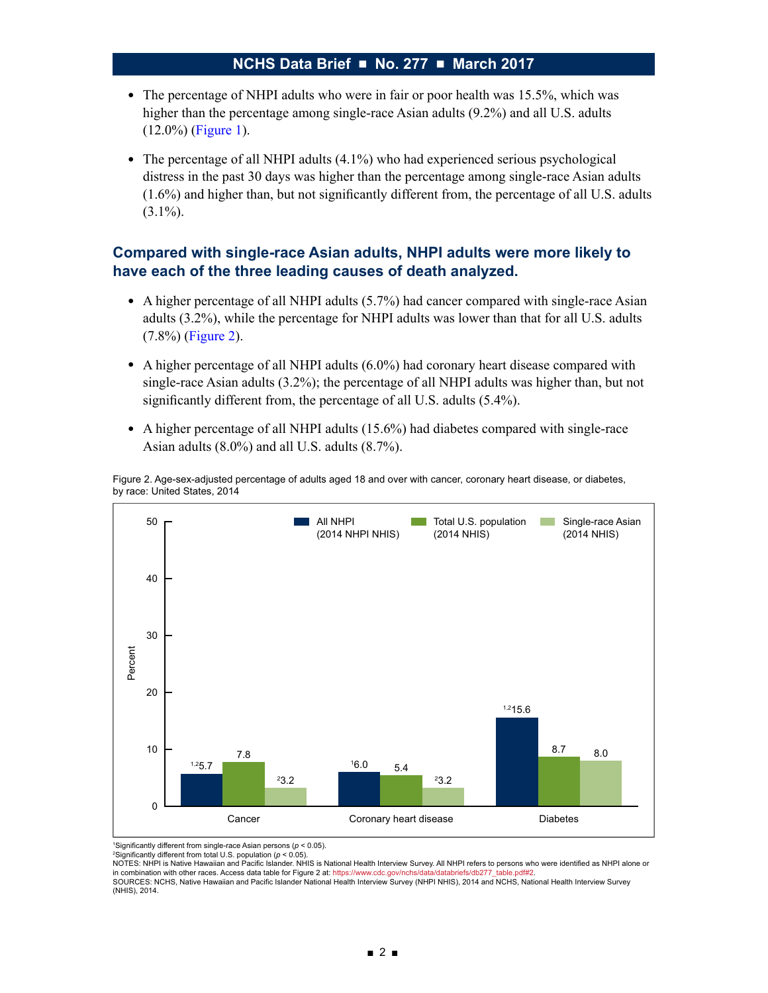- The percentage of NHPI adults who were in fair or poor health was 15.5%, which was higher than the percentage among single-race Asian adults (9.2%) and all U.S. adults (12.0%) [\(Figure 1\)](#page-0-0).
- The percentage of all NHPI adults (4.1%) who had experienced serious psychological distress in the past 30 days was higher than the percentage among single-race Asian adults (1.6%) and higher than, but not significantly different from, the percentage of all U.S. adults  $(3.1\%)$ .

## **Compared with single-race Asian adults, NHPI adults were more likely to have each of the three leading causes of death analyzed.**

- A higher percentage of all NHPI adults (5.7%) had cancer compared with single-race Asian adults (3.2%), while the percentage for NHPI adults was lower than that for all U.S. adults (7.8%) (Figure 2).
- $\bullet$  A higher percentage of all NHPI adults (6.0%) had coronary heart disease compared with single-race Asian adults (3.2%); the percentage of all NHPI adults was higher than, but not significantly different from, the percentage of all U.S. adults (5.4%).
- A higher percentage of all NHPI adults (15.6%) had diabetes compared with single-race Asian adults (8.0%) and all U.S. adults (8.7%).

Figure 2. Age-sex-adjusted percentage of adults aged 18 and over with cancer, coronary heart disease, or diabetes, by race: United States, 2014



<sup>1</sup>Significantly different from single-race Asian persons ( $p < 0.05$ ). <sup>2</sup>Significantly different from total U.S. population ( $p < 0.05$ ).

NOTES: NHPI is Native Hawaiian and Pacific Islander. NHIS is National Health Interview Survey. All NHPI refers to persons who were identified as NHPI alone or in combination with other races. Access data table for Figure 2 at: https://www.cdc.gov/nchs/data/databriefs/db277\_table.pdf#2

SOURCES: NCHS, Native Hawaiian and Pacific Islander National Health Interview Survey (NHPI NHIS), 2014 and NCHS, National Health Interview Survey (NHIS), 2014.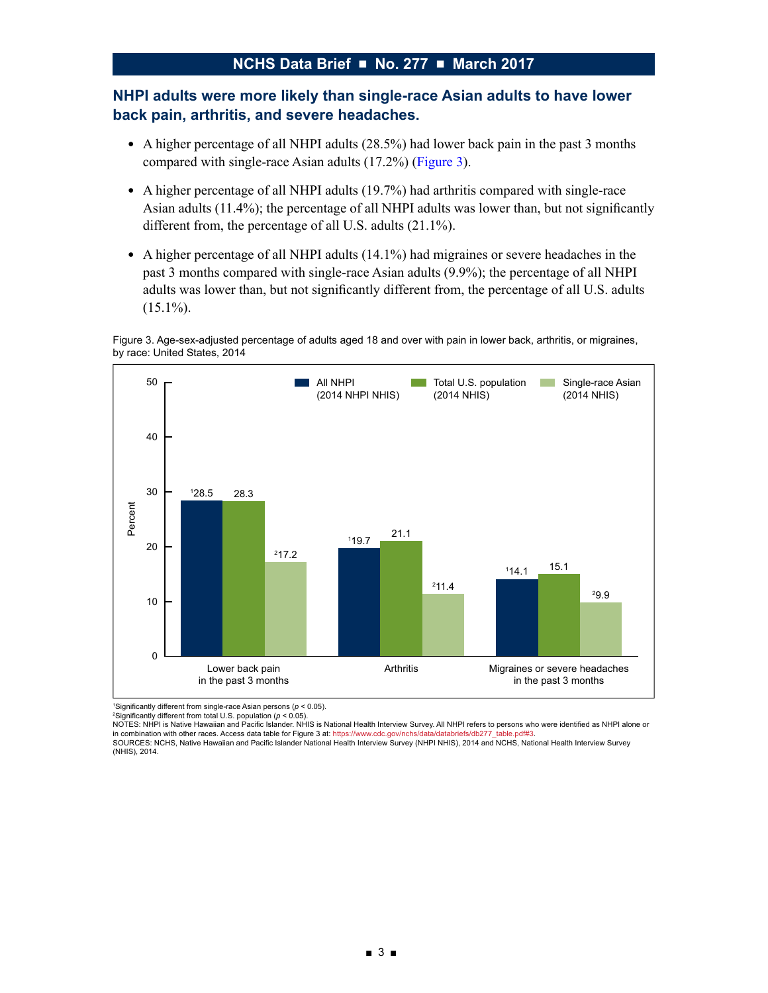## **NHPI adults were more likely than single-race Asian adults to have lower back pain, arthritis, and severe headaches.**

- A higher percentage of all NHPI adults (28.5%) had lower back pain in the past 3 months compared with single-race Asian adults (17.2%) (Figure 3).
- A higher percentage of all NHPI adults (19.7%) had arthritis compared with single-race Asian adults (11.4%); the percentage of all NHPI adults was lower than, but not significantly different from, the percentage of all U.S. adults (21.1%).
- A higher percentage of all NHPI adults (14.1%) had migraines or severe headaches in the past 3 months compared with single-race Asian adults (9.9%); the percentage of all NHPI adults was lower than, but not significantly different from, the percentage of all U.S. adults  $(15.1\%)$ .





<sup>1</sup>Significantly different from single-race Asian persons ( $p < 0.05$ ).

 $2$ Significantly different from total U.S. population ( $p < 0.05$ ).

NOTES: NHPI is Native Hawaiian and Pacific Islander. NHIS is National Health Interview Survey. All NHPI refers to persons who were identified as NHPI alone or in combination with other races. Access data table for Figure 3 at: https://www.cdc.gov/nchs/data/databriefs/db277\_table.pdf#3. SOURCES: NCHS, Native Hawaiian and Pacific Islander National Health Interview Survey (NHPI NHIS), 2014 and NCHS, National Health Interview Survey

(NHIS), 2014.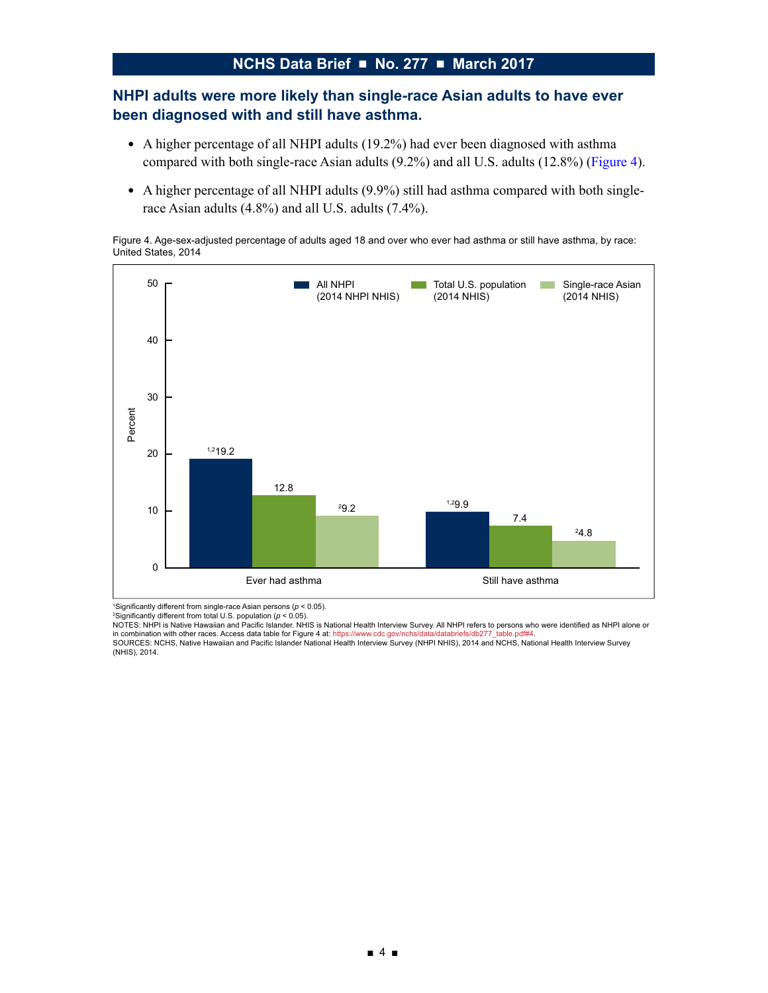## **NHPI adults were more likely than single-race Asian adults to have ever been diagnosed with and still have asthma.**

- A higher percentage of all NHPI adults (19.2%) had ever been diagnosed with asthma compared with both single-race Asian adults (9.2%) and all U.S. adults (12.8%) (Figure 4).
- A higher percentage of all NHPI adults (9.9%) still had asthma compared with both singlerace Asian adults (4.8%) and all U.S. adults (7.4%).

Figure 4. Age-sex-adjusted percentage of adults aged 18 and over who ever had asthma or still have asthma, by race:<br>United States, 2014



<sup>1</sup>Significantly different from single-race Asian persons ( $p < 0.05$ ).

 $2$ Significantly different from total U.S. population ( $p < 0.05$ ).

NOTES: NHPI is Native Hawaiian and Pacific Islander. NHIS is National Health Interview Survey. All NHPI refers to persons who were identified as NHPI alone or in combination with other races. Access data table for Figure 4 at: https://www.cdc.gov/nchs/data/databriefs/db277\_table.pdf#4.<br>SOURCES: NCHS, Native Hawaiian and Pacific Islander National Health Interview Survey (NHPI NHI (NHIS), 2014.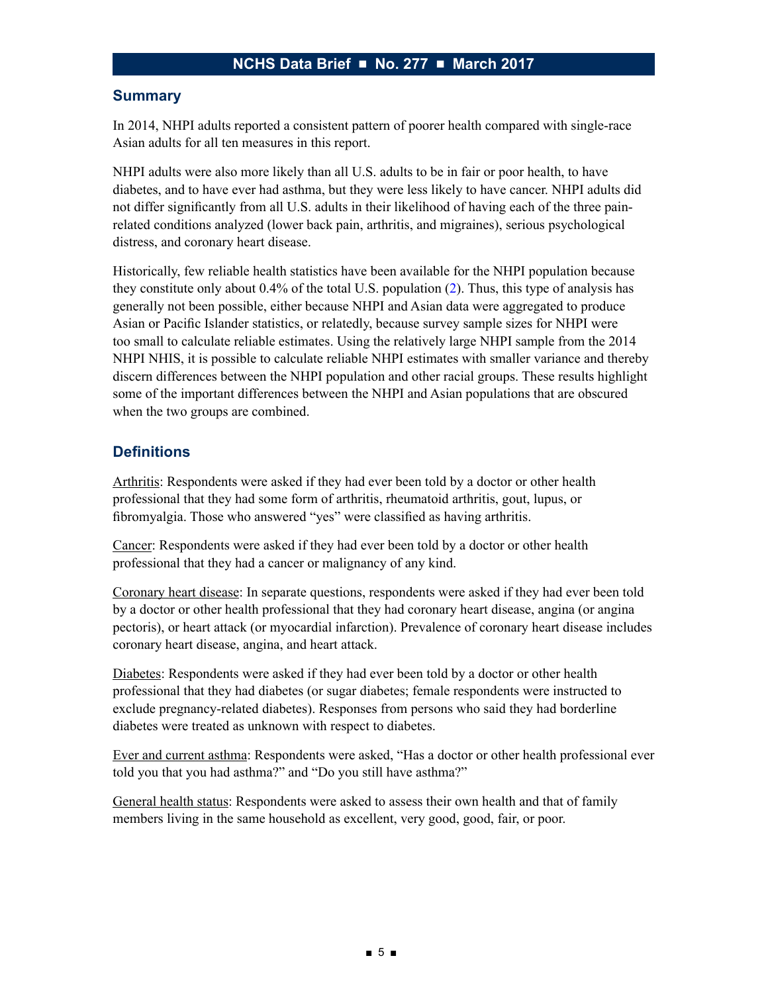### **Summary**

In 2014, NHPI adults reported a consistent pattern of poorer health compared with single-race Asian adults for all ten measures in this report.

NHPI adults were also more likely than all U.S. adults to be in fair or poor health, to have diabetes, and to have ever had asthma, but they were less likely to have cancer. NHPI adults did not differ significantly from all U.S. adults in their likelihood of having each of the three painrelated conditions analyzed (lower back pain, arthritis, and migraines), serious psychological distress, and coronary heart disease.

Historically, few reliable health statistics have been available for the NHPI population because they constitute only about 0.4% of the total U.S. population [\(2\)](#page-6-0). Thus, this type of analysis has generally not been possible, either because NHPI and Asian data were aggregated to produce Asian or Pacific Islander statistics, or relatedly, because survey sample sizes for NHPI were too small to calculate reliable estimates. Using the relatively large NHPI sample from the 2014 NHPI NHIS, it is possible to calculate reliable NHPI estimates with smaller variance and thereby discern differences between the NHPI population and other racial groups. These results highlight some of the important differences between the NHPI and Asian populations that are obscured when the two groups are combined.

# **Definitions**

Arthritis: Respondents were asked if they had ever been told by a doctor or other health professional that they had some form of arthritis, rheumatoid arthritis, gout, lupus, or fibromyalgia. Those who answered "yes" were classified as having arthritis.

Cancer: Respondents were asked if they had ever been told by a doctor or other health professional that they had a cancer or malignancy of any kind.

Coronary heart disease: In separate questions, respondents were asked if they had ever been told by a doctor or other health professional that they had coronary heart disease, angina (or angina pectoris), or heart attack (or myocardial infarction). Prevalence of coronary heart disease includes coronary heart disease, angina, and heart attack.

Diabetes: Respondents were asked if they had ever been told by a doctor or other health professional that they had diabetes (or sugar diabetes; female respondents were instructed to exclude pregnancy-related diabetes). Responses from persons who said they had borderline diabetes were treated as unknown with respect to diabetes.

Ever and current asthma: Respondents were asked, "Has a doctor or other health professional ever told you that you had asthma?" and "Do you still have asthma?"

General health status: Respondents were asked to assess their own health and that of family members living in the same household as excellent, very good, good, fair, or poor.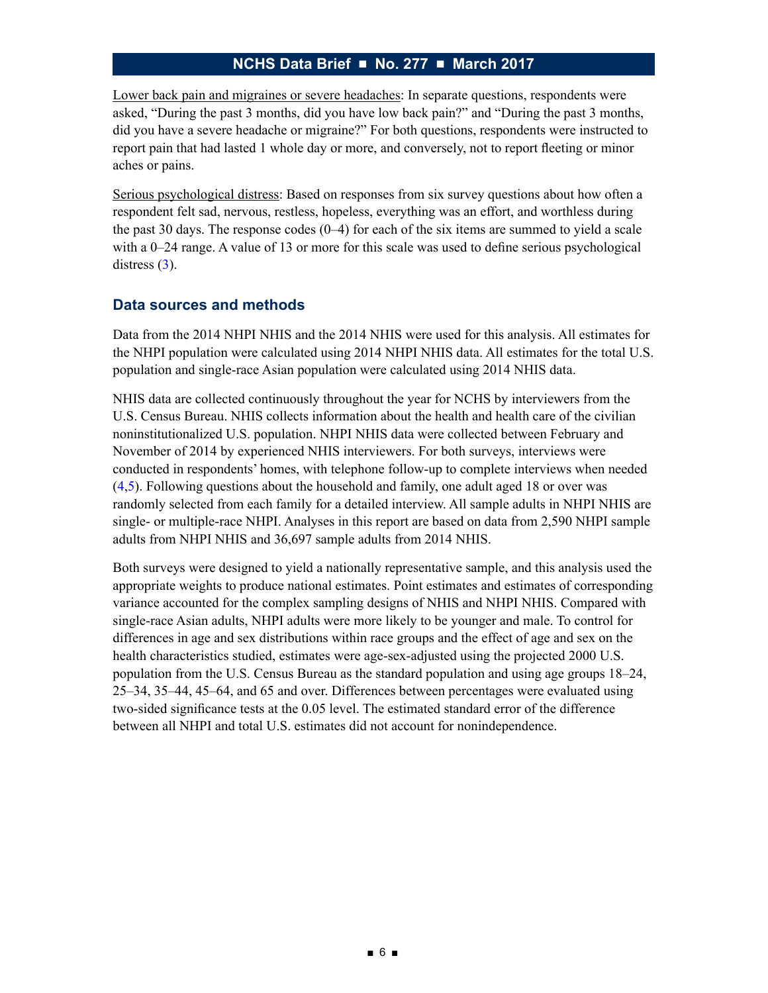Lower back pain and migraines or severe headaches: In separate questions, respondents were asked, "During the past 3 months, did you have low back pain?" and "During the past 3 months, did you have a severe headache or migraine?" For both questions, respondents were instructed to report pain that had lasted 1 whole day or more, and conversely, not to report fleeting or minor aches or pains.

Serious psychological distress: Based on responses from six survey questions about how often a respondent felt sad, nervous, restless, hopeless, everything was an effort, and worthless during the past 30 days. The response codes (0–4) for each of the six items are summed to yield a scale with a 0–24 range. A value of 13 or more for this scale was used to define serious psychological distress  $(3)$ .

### **Data sources and methods**

Data from the 2014 NHPI NHIS and the 2014 NHIS were used for this analysis. All estimates for the NHPI population were calculated using 2014 NHPI NHIS data. All estimates for the total U.S. population and single-race Asian population were calculated using 2014 NHIS data.

NHIS data are collected continuously throughout the year for NCHS by interviewers from the U.S. Census Bureau. NHIS collects information about the health and health care of the civilian noninstitutionalized U.S. population. NHPI NHIS data were collected between February and November of 2014 by experienced NHIS interviewers. For both surveys, interviews were conducted in respondents' homes, with telephone follow-up to complete interviews when needed [\(4,5\)](#page-6-0). Following questions about the household and family, one adult aged 18 or over was randomly selected from each family for a detailed interview. All sample adults in NHPI NHIS are single- or multiple-race NHPI. Analyses in this report are based on data from 2,590 NHPI sample adults from NHPI NHIS and 36,697 sample adults from 2014 NHIS.

Both surveys were designed to yield a nationally representative sample, and this analysis used the appropriate weights to produce national estimates. Point estimates and estimates of corresponding variance accounted for the complex sampling designs of NHIS and NHPI NHIS. Compared with single-race Asian adults, NHPI adults were more likely to be younger and male. To control for differences in age and sex distributions within race groups and the effect of age and sex on the health characteristics studied, estimates were age-sex-adjusted using the projected 2000 U.S. population from the U.S. Census Bureau as the standard population and using age groups 18–24, 25–34, 35–44, 45–64, and 65 and over. Differences between percentages were evaluated using two-sided significance tests at the 0.05 level. The estimated standard error of the difference between all NHPI and total U.S. estimates did not account for nonindependence.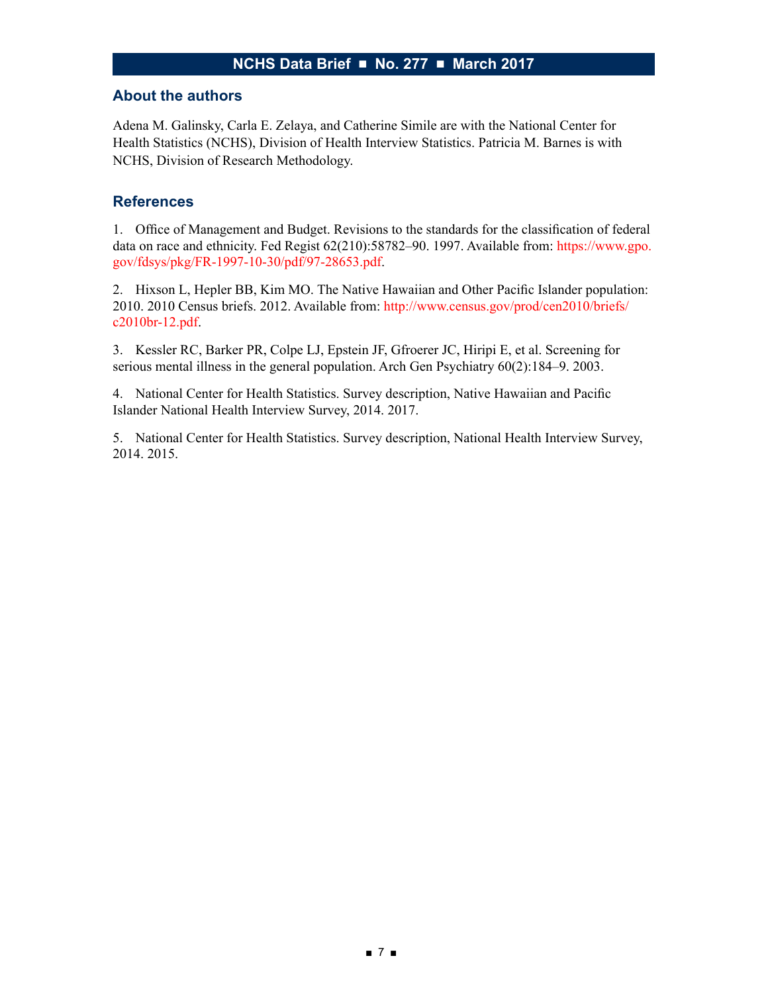#### <span id="page-6-0"></span>**About the authors**

Adena M. Galinsky, Carla E. Zelaya, and Catherine Simile are with the National Center for Health Statistics (NCHS), Division of Health Interview Statistics. Patricia M. Barnes is with NCHS, Division of Research Methodology.

#### **References**

1. Office of Management and Budget. Revisions to the standards for the classification of federal data on race and ethnicity. Fed Regist 62(210):58782–90. 1997. Available from: [https://www.gpo.](https://www.gpo.gov/fdsys/pkg/FR-1997-10-30/pdf/97-28653.pdf) [gov/fdsys/pkg/FR-1997-10-30/pdf/97-28653.pdf](https://www.gpo.gov/fdsys/pkg/FR-1997-10-30/pdf/97-28653.pdf).

2. Hixson L, Hepler BB, Kim MO. The Native Hawaiian and Other Pacific Islander population: 2010. 2010 Census briefs. 2012. Available from: [http://www.census.gov/prod/cen2010/briefs/](http://www.census.gov/prod/cen2010/briefs/c2010br-12.pdf) [c2010br-12.pdf.](http://www.census.gov/prod/cen2010/briefs/c2010br-12.pdf)

3. Kessler RC, Barker PR, Colpe LJ, Epstein JF, Gfroerer JC, Hiripi E, et al. Screening for serious mental illness in the general population. Arch Gen Psychiatry 60(2):184–9. 2003.

4. National Center for Health Statistics. Survey description, Native Hawaiian and Pacific Islander National Health Interview Survey, 2014. 2017.

5. National Center for Health Statistics. Survey description, National Health Interview Survey, 2014. 2015.